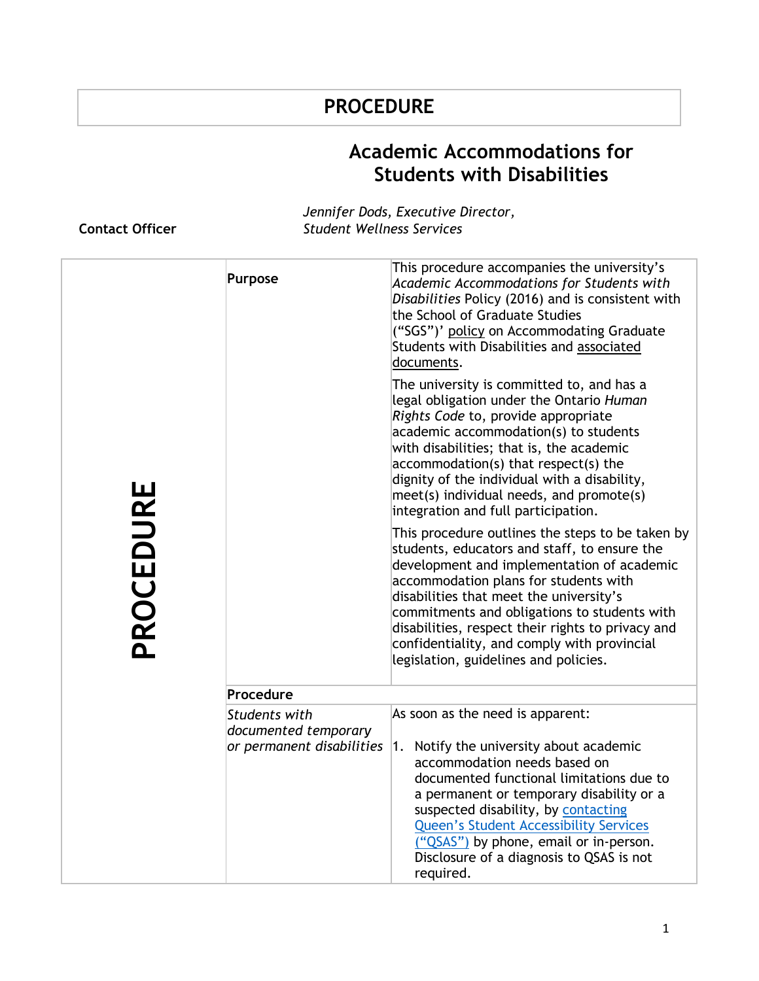## **PROCEDURE**

## **Academic Accommodations for Students with Disabilities**

## **Contact Officer**

*Jennifer Dods, Executive Director, Student Wellness Services* 

| PROCEDURE | <b>Purpose</b>                                                            | This procedure accompanies the university's<br>Academic Accommodations for Students with<br>Disabilities Policy (2016) and is consistent with<br>the School of Graduate Studies<br>("SGS")' policy on Accommodating Graduate<br>Students with Disabilities and associated<br>documents.                                                                                                                                         |
|-----------|---------------------------------------------------------------------------|---------------------------------------------------------------------------------------------------------------------------------------------------------------------------------------------------------------------------------------------------------------------------------------------------------------------------------------------------------------------------------------------------------------------------------|
|           |                                                                           | The university is committed to, and has a<br>legal obligation under the Ontario Human<br>Rights Code to, provide appropriate<br>academic accommodation(s) to students<br>with disabilities; that is, the academic<br>$accommodation(s)$ that respect(s) the<br>dignity of the individual with a disability,<br>$meet(s)$ individual needs, and promote(s)<br>integration and full participation.                                |
|           |                                                                           | This procedure outlines the steps to be taken by<br>students, educators and staff, to ensure the<br>development and implementation of academic<br>accommodation plans for students with<br>disabilities that meet the university's<br>commitments and obligations to students with<br>disabilities, respect their rights to privacy and<br>confidentiality, and comply with provincial<br>legislation, guidelines and policies. |
|           | Procedure                                                                 |                                                                                                                                                                                                                                                                                                                                                                                                                                 |
|           | <b>Students with</b><br>documented temporary<br>or permanent disabilities | As soon as the need is apparent:<br>1. Notify the university about academic<br>accommodation needs based on<br>documented functional limitations due to<br>a permanent or temporary disability or a<br>suspected disability, by contacting                                                                                                                                                                                      |
|           |                                                                           | <b>Queen's Student Accessibility Services</b><br>("QSAS") by phone, email or in-person.<br>Disclosure of a diagnosis to QSAS is not<br>required.                                                                                                                                                                                                                                                                                |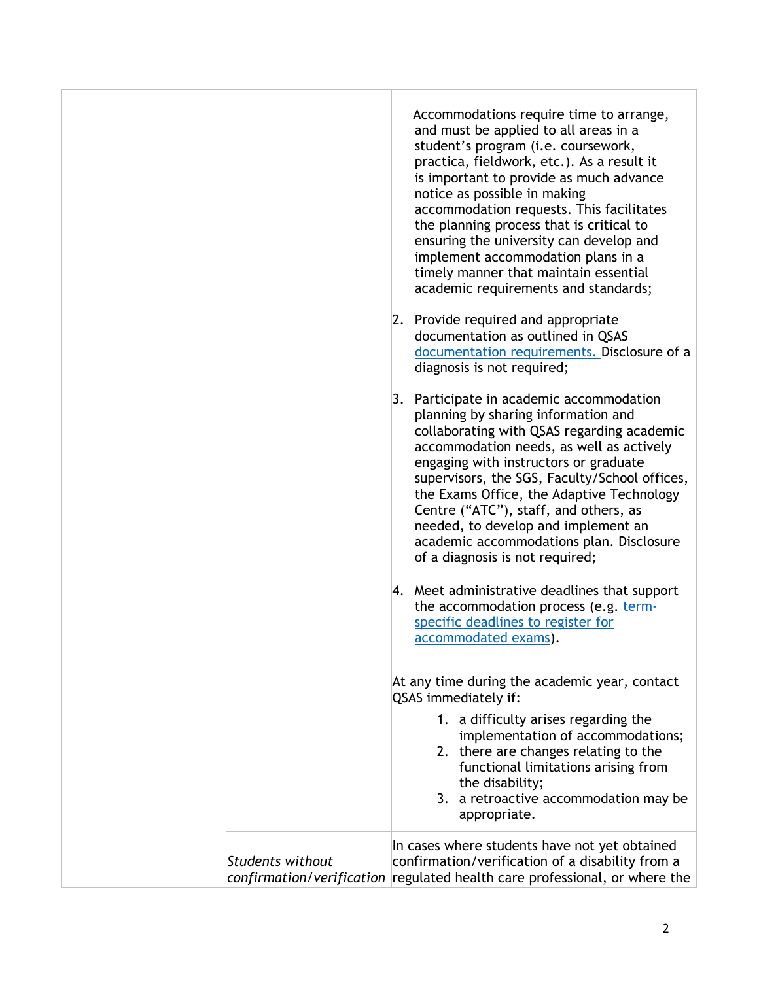|                         | Accommodations require time to arrange,<br>and must be applied to all areas in a<br>student's program (i.e. coursework,<br>practica, fieldwork, etc.). As a result it<br>is important to provide as much advance<br>notice as possible in making<br>accommodation requests. This facilitates<br>the planning process that is critical to<br>ensuring the university can develop and<br>implement accommodation plans in a<br>timely manner that maintain essential<br>academic requirements and standards; |
|-------------------------|------------------------------------------------------------------------------------------------------------------------------------------------------------------------------------------------------------------------------------------------------------------------------------------------------------------------------------------------------------------------------------------------------------------------------------------------------------------------------------------------------------|
|                         | 2. Provide required and appropriate<br>documentation as outlined in QSAS<br>documentation requirements. Disclosure of a<br>diagnosis is not required;                                                                                                                                                                                                                                                                                                                                                      |
|                         | 3. Participate in academic accommodation<br>planning by sharing information and<br>collaborating with QSAS regarding academic<br>accommodation needs, as well as actively<br>engaging with instructors or graduate<br>supervisors, the SGS, Faculty/School offices,<br>the Exams Office, the Adaptive Technology<br>Centre ("ATC"), staff, and others, as<br>needed, to develop and implement an<br>academic accommodations plan. Disclosure<br>of a diagnosis is not required;                            |
|                         | 4. Meet administrative deadlines that support<br>the accommodation process (e.g. term-<br>specific deadlines to register for<br>accommodated exams).                                                                                                                                                                                                                                                                                                                                                       |
|                         | At any time during the academic year, contact<br>QSAS immediately if:                                                                                                                                                                                                                                                                                                                                                                                                                                      |
|                         | 1. a difficulty arises regarding the<br>implementation of accommodations;<br>2. there are changes relating to the<br>functional limitations arising from<br>the disability;<br>3. a retroactive accommodation may be<br>appropriate.                                                                                                                                                                                                                                                                       |
| <b>Students without</b> | In cases where students have not yet obtained<br>confirmation/verification of a disability from a<br>confirmation/verification regulated health care professional, or where the                                                                                                                                                                                                                                                                                                                            |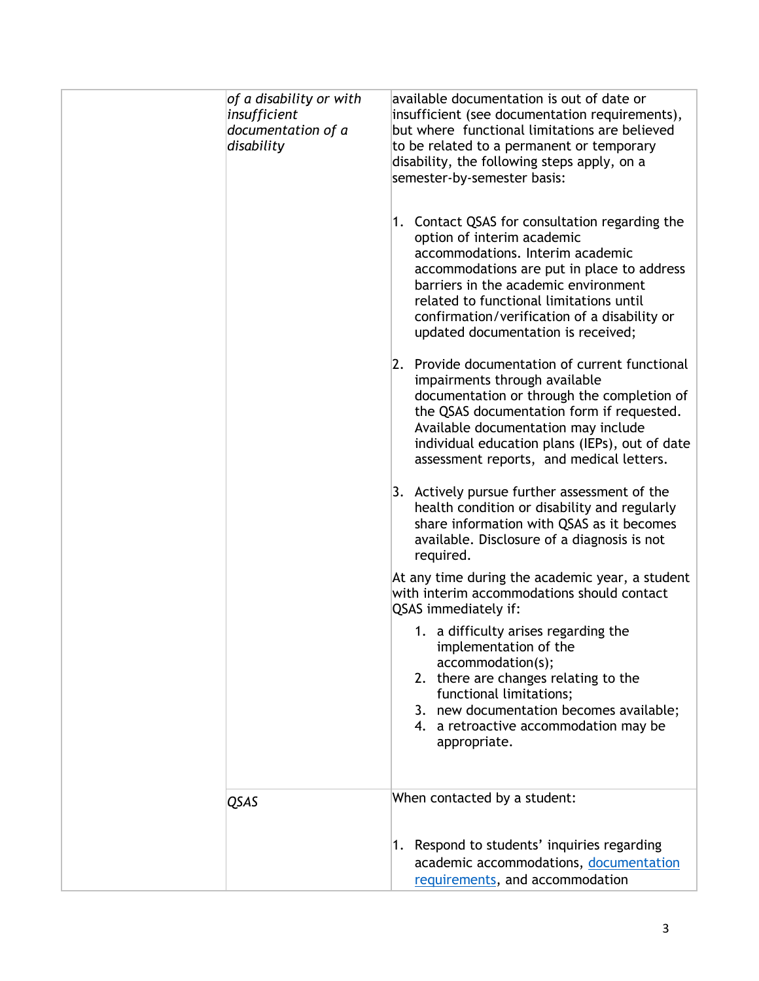| of a disability or with<br>insufficient<br>documentation of a<br>disability | available documentation is out of date or<br>insufficient (see documentation requirements),<br>but where functional limitations are believed<br>to be related to a permanent or temporary<br>disability, the following steps apply, on a<br>semester-by-semester basis:<br>1. Contact QSAS for consultation regarding the<br>option of interim academic<br>accommodations. Interim academic<br>accommodations are put in place to address<br>barriers in the academic environment<br>related to functional limitations until<br>confirmation/verification of a disability or<br>updated documentation is received;<br>2. Provide documentation of current functional<br>impairments through available<br>documentation or through the completion of<br>the QSAS documentation form if requested.<br>Available documentation may include<br>individual education plans (IEPs), out of date<br>assessment reports, and medical letters.<br>3. Actively pursue further assessment of the<br>health condition or disability and regularly<br>share information with QSAS as it becomes<br>available. Disclosure of a diagnosis is not<br>required.<br>At any time during the academic year, a student<br>with interim accommodations should contact<br>QSAS immediately if:<br>1. a difficulty arises regarding the<br>implementation of the<br>accommodation(s);<br>2. there are changes relating to the<br>functional limitations;<br>3. new documentation becomes available;<br>4. a retroactive accommodation may be<br>appropriate. |
|-----------------------------------------------------------------------------|--------------------------------------------------------------------------------------------------------------------------------------------------------------------------------------------------------------------------------------------------------------------------------------------------------------------------------------------------------------------------------------------------------------------------------------------------------------------------------------------------------------------------------------------------------------------------------------------------------------------------------------------------------------------------------------------------------------------------------------------------------------------------------------------------------------------------------------------------------------------------------------------------------------------------------------------------------------------------------------------------------------------------------------------------------------------------------------------------------------------------------------------------------------------------------------------------------------------------------------------------------------------------------------------------------------------------------------------------------------------------------------------------------------------------------------------------------------------------------------------------------------------------------------|
| QSAS                                                                        | When contacted by a student:<br>1. Respond to students' inquiries regarding<br>academic accommodations, documentation<br>requirements, and accommodation                                                                                                                                                                                                                                                                                                                                                                                                                                                                                                                                                                                                                                                                                                                                                                                                                                                                                                                                                                                                                                                                                                                                                                                                                                                                                                                                                                             |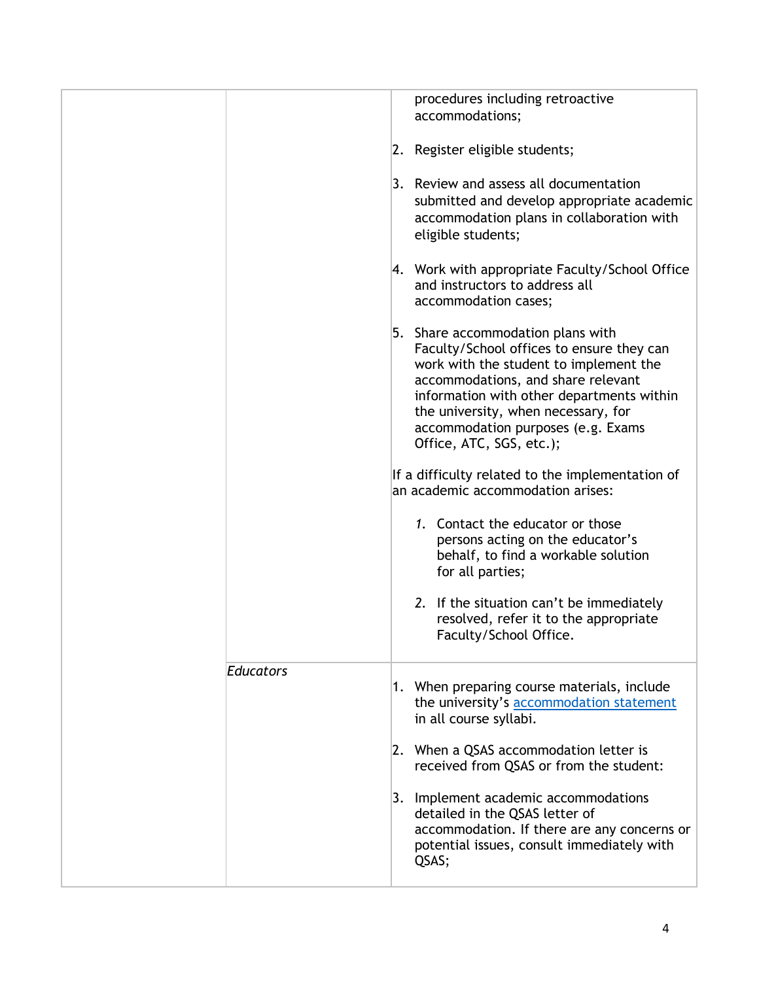|           | procedures including retroactive<br>accommodations;                                                                                                                                                                                                                                                                  |
|-----------|----------------------------------------------------------------------------------------------------------------------------------------------------------------------------------------------------------------------------------------------------------------------------------------------------------------------|
|           | 2. Register eligible students;                                                                                                                                                                                                                                                                                       |
|           | 3. Review and assess all documentation<br>submitted and develop appropriate academic<br>accommodation plans in collaboration with<br>eligible students;                                                                                                                                                              |
|           | 4. Work with appropriate Faculty/School Office<br>and instructors to address all<br>accommodation cases;                                                                                                                                                                                                             |
|           | 5. Share accommodation plans with<br>Faculty/School offices to ensure they can<br>work with the student to implement the<br>accommodations, and share relevant<br>information with other departments within<br>the university, when necessary, for<br>accommodation purposes (e.g. Exams<br>Office, ATC, SGS, etc.); |
|           | If a difficulty related to the implementation of<br>an academic accommodation arises:                                                                                                                                                                                                                                |
|           | 1. Contact the educator or those<br>persons acting on the educator's<br>behalf, to find a workable solution<br>for all parties;                                                                                                                                                                                      |
|           | 2. If the situation can't be immediately<br>resolved, refer it to the appropriate<br>Faculty/School Office.                                                                                                                                                                                                          |
| Educators | 1. When preparing course materials, include<br>the university's accommodation statement<br>in all course syllabi.                                                                                                                                                                                                    |
|           | 2. When a QSAS accommodation letter is<br>received from QSAS or from the student:                                                                                                                                                                                                                                    |
|           | 3. Implement academic accommodations<br>detailed in the QSAS letter of<br>accommodation. If there are any concerns or<br>potential issues, consult immediately with<br>QSAS;                                                                                                                                         |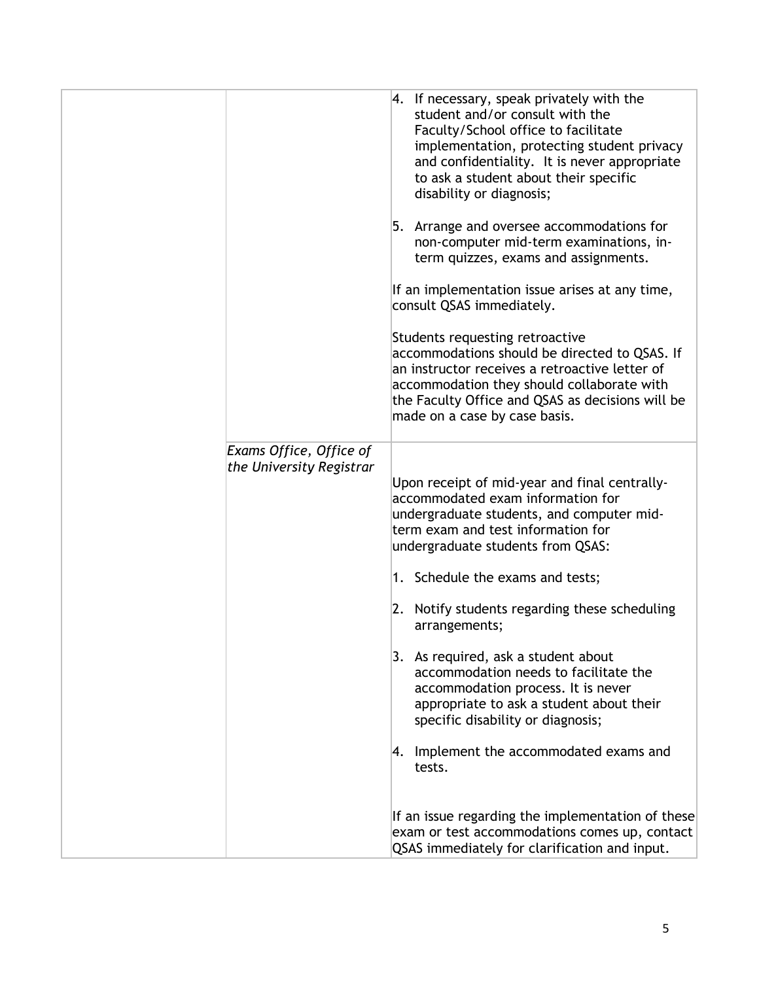|                                                     | 4. If necessary, speak privately with the<br>student and/or consult with the<br>Faculty/School office to facilitate<br>implementation, protecting student privacy<br>and confidentiality. It is never appropriate<br>to ask a student about their specific<br>disability or diagnosis;<br>5. Arrange and oversee accommodations for<br>non-computer mid-term examinations, in-<br>term quizzes, exams and assignments.<br>If an implementation issue arises at any time,<br>consult QSAS immediately.<br>Students requesting retroactive<br>accommodations should be directed to QSAS. If<br>an instructor receives a retroactive letter of<br>accommodation they should collaborate with<br>the Faculty Office and QSAS as decisions will be<br>made on a case by case basis. |
|-----------------------------------------------------|--------------------------------------------------------------------------------------------------------------------------------------------------------------------------------------------------------------------------------------------------------------------------------------------------------------------------------------------------------------------------------------------------------------------------------------------------------------------------------------------------------------------------------------------------------------------------------------------------------------------------------------------------------------------------------------------------------------------------------------------------------------------------------|
| Exams Office, Office of<br>the University Registrar | Upon receipt of mid-year and final centrally-<br>accommodated exam information for<br>undergraduate students, and computer mid-<br>term exam and test information for<br>undergraduate students from QSAS:<br>1. Schedule the exams and tests;<br>2. Notify students regarding these scheduling<br>arrangements;<br>3. As required, ask a student about<br>accommodation needs to facilitate the<br>accommodation process. It is never<br>appropriate to ask a student about their<br>specific disability or diagnosis;<br>4. Implement the accommodated exams and<br>tests.<br>If an issue regarding the implementation of these<br>exam or test accommodations comes up, contact                                                                                             |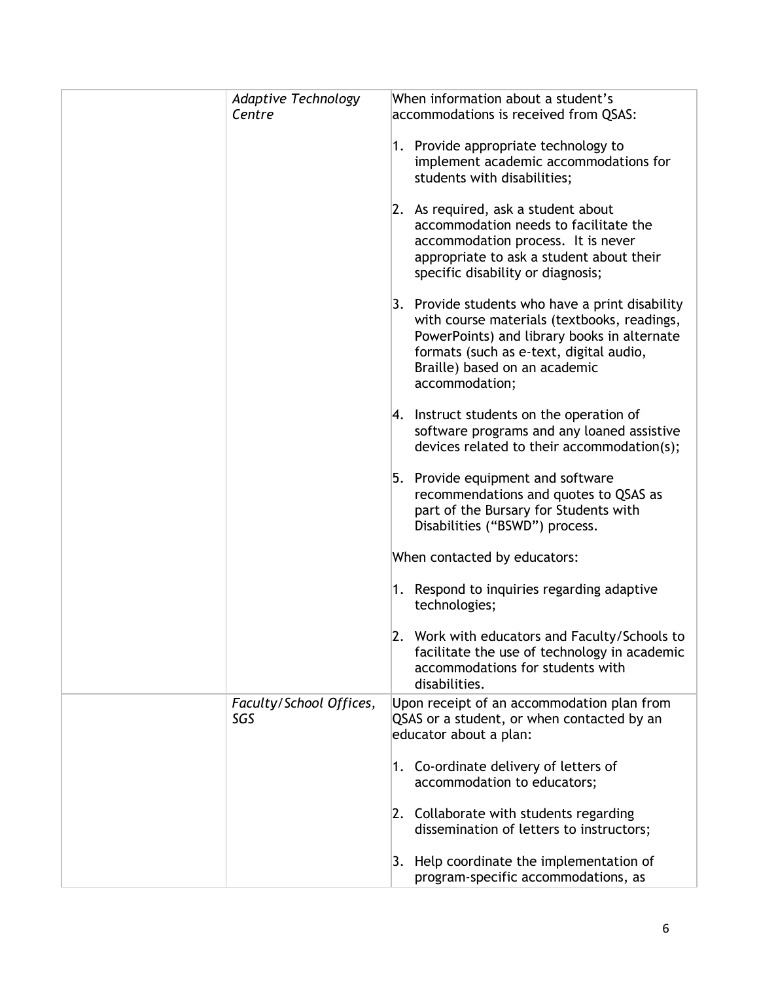| <b>Adaptive Technology</b><br>Centre | When information about a student's<br>accommodations is received from QSAS:                                                                                                                                                                 |
|--------------------------------------|---------------------------------------------------------------------------------------------------------------------------------------------------------------------------------------------------------------------------------------------|
|                                      | 1. Provide appropriate technology to<br>implement academic accommodations for<br>students with disabilities;                                                                                                                                |
|                                      | 2. As required, ask a student about<br>accommodation needs to facilitate the<br>accommodation process. It is never<br>appropriate to ask a student about their<br>specific disability or diagnosis;                                         |
|                                      | 3. Provide students who have a print disability<br>with course materials (textbooks, readings,<br>PowerPoints) and library books in alternate<br>formats (such as e-text, digital audio,<br>Braille) based on an academic<br>accommodation; |
|                                      | 4. Instruct students on the operation of<br>software programs and any loaned assistive<br>devices related to their accommodation(s);                                                                                                        |
|                                      | 5. Provide equipment and software<br>recommendations and quotes to QSAS as<br>part of the Bursary for Students with<br>Disabilities ("BSWD") process.                                                                                       |
|                                      | When contacted by educators:                                                                                                                                                                                                                |
|                                      | 1. Respond to inquiries regarding adaptive<br>technologies;                                                                                                                                                                                 |
|                                      | 2. Work with educators and Faculty/Schools to<br>facilitate the use of technology in academic<br>accommodations for students with<br>disabilities.                                                                                          |
| Faculty/School Offices,<br>SGS       | Upon receipt of an accommodation plan from<br>QSAS or a student, or when contacted by an<br>educator about a plan:                                                                                                                          |
|                                      | 1. Co-ordinate delivery of letters of<br>accommodation to educators;                                                                                                                                                                        |
|                                      | 2. Collaborate with students regarding<br>dissemination of letters to instructors;                                                                                                                                                          |
|                                      | 3. Help coordinate the implementation of<br>program-specific accommodations, as                                                                                                                                                             |